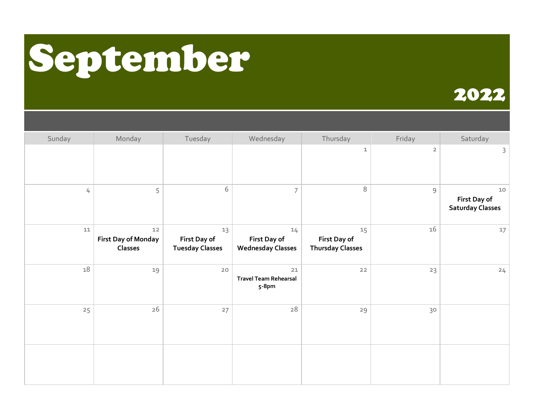# September

| Sunday | Monday                                               | Tuesday                                      | Wednesday                                      | Thursday                                      | Friday         | Saturday                                               |
|--------|------------------------------------------------------|----------------------------------------------|------------------------------------------------|-----------------------------------------------|----------------|--------------------------------------------------------|
|        |                                                      |                                              |                                                | $\mathbf{1}$                                  | $\overline{2}$ | $\mathsf{3}$                                           |
| 4      | 5                                                    | 6                                            | $\overline{7}$                                 | $\,8\,$                                       | $\overline{9}$ | $10$<br><b>First Day of</b><br><b>Saturday Classes</b> |
| $11\,$ | $12$<br><b>First Day of Monday</b><br><b>Classes</b> | 13<br>First Day of<br><b>Tuesday Classes</b> | 14<br>First Day of<br><b>Wednesday Classes</b> | 15<br>First Day of<br><b>Thursday Classes</b> | 16             | 17                                                     |
| 18     | 19                                                   | 20                                           | 21<br><b>Travel Team Rehearsal</b><br>5-8pm    | 22                                            | 23             | 24                                                     |
| 25     | $26$                                                 | 27                                           | $28\,$                                         | 29                                            | 30             |                                                        |
|        |                                                      |                                              |                                                |                                               |                |                                                        |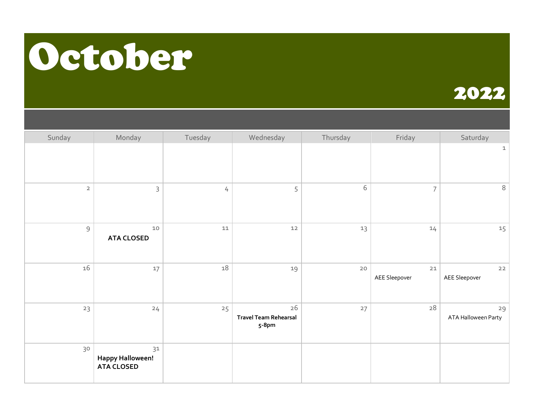### October

| Sunday         | Monday                                             | Tuesday        | Wednesday                                   | Thursday   | Friday              | Saturday                  |
|----------------|----------------------------------------------------|----------------|---------------------------------------------|------------|---------------------|---------------------------|
|                |                                                    |                |                                             |            |                     | $\mathbf 1$               |
| $\mathsf{2}\,$ | $\mathsf{3}$                                       | $\overline{4}$ | 5                                           | $\sqrt{6}$ | $\overline{7}$      | 8                         |
| $\mathsf 9$    | $10$<br><b>ATA CLOSED</b>                          | ${\bf 11}$     | $12$                                        | 13         | 14                  | 15                        |
| 16             | $17$                                               | 18             | 19                                          | $20$       | 21<br>AEE Sleepover | $22$<br>AEE Sleepover     |
| 23             | 24                                                 | 25             | 26<br><b>Travel Team Rehearsal</b><br>5-8pm | 27         | 28                  | 29<br>ATA Halloween Party |
| 30             | 31<br><b>Happy Halloween!</b><br><b>ATA CLOSED</b> |                |                                             |            |                     |                           |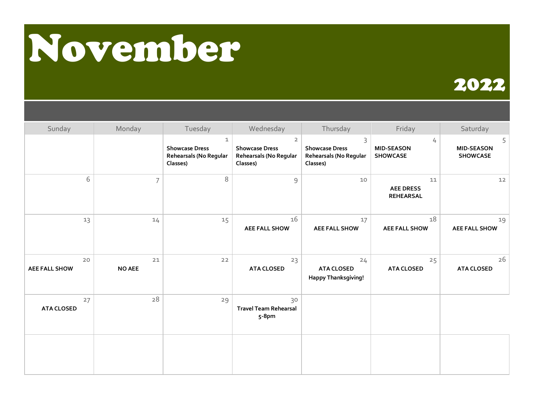## November

| Sunday                     | Monday              | Tuesday                                                                     | Wednesday                                                                     | Thursday                                                                    | Friday                                     | Saturday                                  |
|----------------------------|---------------------|-----------------------------------------------------------------------------|-------------------------------------------------------------------------------|-----------------------------------------------------------------------------|--------------------------------------------|-------------------------------------------|
|                            |                     | $\mathbf{1}$<br><b>Showcase Dress</b><br>Rehearsals (No Regular<br>Classes) | $\overline{2}$<br><b>Showcase Dress</b><br>Rehearsals (No Regular<br>Classes) | $\mathsf{3}$<br><b>Showcase Dress</b><br>Rehearsals (No Regular<br>Classes) | 4<br><b>MID-SEASON</b><br><b>SHOWCASE</b>  | 5<br><b>MID-SEASON</b><br><b>SHOWCASE</b> |
| 6                          | $\overline{7}$      | 8                                                                           | 9                                                                             | 10                                                                          | 11<br><b>AEE DRESS</b><br><b>REHEARSAL</b> | 12                                        |
| 13                         | 14                  | 15                                                                          | 16<br><b>AEE FALL SHOW</b>                                                    | 17<br><b>AEE FALL SHOW</b>                                                  | 18<br><b>AEE FALL SHOW</b>                 | 19<br><b>AEE FALL SHOW</b>                |
| 20<br><b>AEE FALL SHOW</b> | 21<br><b>NO AEE</b> | 22                                                                          | 23<br><b>ATA CLOSED</b>                                                       | 24<br><b>ATA CLOSED</b><br><b>Happy Thanksgiving!</b>                       | 25<br><b>ATA CLOSED</b>                    | 26<br><b>ATA CLOSED</b>                   |
| 27<br><b>ATA CLOSED</b>    | 28                  | 29                                                                          | 30<br><b>Travel Team Rehearsal</b><br>5-8pm                                   |                                                                             |                                            |                                           |
|                            |                     |                                                                             |                                                                               |                                                                             |                                            |                                           |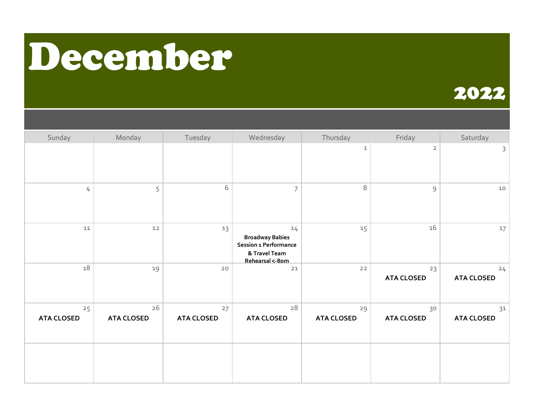### December

| Sunday                  | Monday                  | Tuesday                 | Wednesday                                                                                 | Thursday                | Friday                  | Saturday                |
|-------------------------|-------------------------|-------------------------|-------------------------------------------------------------------------------------------|-------------------------|-------------------------|-------------------------|
|                         |                         |                         |                                                                                           | $\mathbf 1$             | $\overline{2}$          | 3                       |
| $\frac{1}{4}$           | 5                       | 6                       | $\overline{7}$                                                                            | $\,8\,$                 | $\overline{9}$          | $10$                    |
| ${\tt 11}$              | $12$                    | 13                      | 14<br><b>Broadway Babies</b><br>Session 1 Performance<br>& Travel Team<br>Rehearsal 5-8pm | 15                      | 16                      | 17                      |
| 18                      | 19                      | 20                      | $21$                                                                                      | $22$                    | 23<br><b>ATA CLOSED</b> | 24<br><b>ATA CLOSED</b> |
| 25<br><b>ATA CLOSED</b> | 26<br><b>ATA CLOSED</b> | 27<br><b>ATA CLOSED</b> | 28<br><b>ATA CLOSED</b>                                                                   | 29<br><b>ATA CLOSED</b> | 30<br><b>ATA CLOSED</b> | 31<br><b>ATA CLOSED</b> |
|                         |                         |                         |                                                                                           |                         |                         |                         |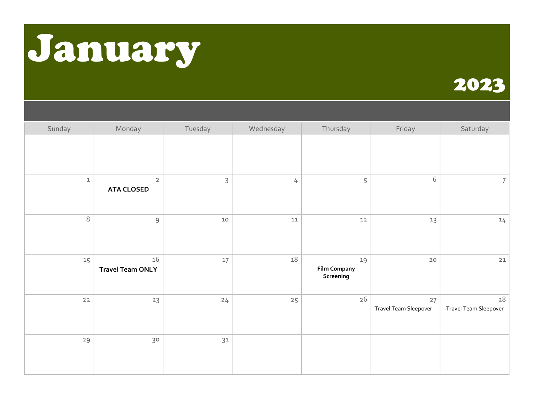### January

| Sunday       | Monday                              | Tuesday      | Wednesday  | Thursday                               | Friday                      | Saturday                            |
|--------------|-------------------------------------|--------------|------------|----------------------------------------|-----------------------------|-------------------------------------|
|              |                                     |              |            |                                        |                             |                                     |
| $\mathbf{1}$ | $\overline{2}$<br><b>ATA CLOSED</b> | $\mathsf{3}$ | 4          | 5                                      | $\sqrt{6}$                  | 7                                   |
| 8            | $\mathsf 9$                         | $10$         | ${\tt 11}$ | $12$                                   | 13                          | 14                                  |
| 15           | 16<br><b>Travel Team ONLY</b>       | 17           | 18         | 19<br><b>Film Company</b><br>Screening | $20$                        | $21$                                |
| $22$         | 23                                  | 24           | 25         | 26                                     | 27<br>Travel Team Sleepover | ${\bf 28}$<br>Travel Team Sleepover |
| 29           | 30                                  | 31           |            |                                        |                             |                                     |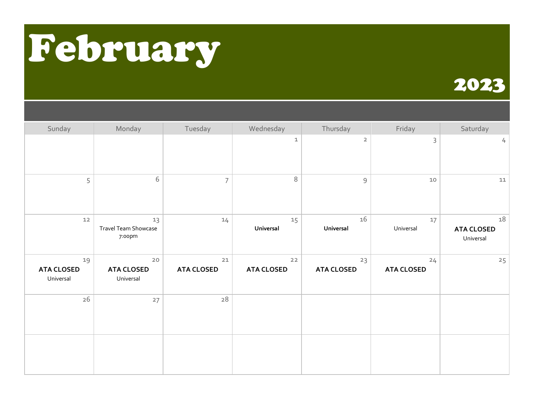## February

| Sunday                               | Monday                                 | Tuesday                   | Wednesday               | Thursday                | Friday                  | Saturday                             |
|--------------------------------------|----------------------------------------|---------------------------|-------------------------|-------------------------|-------------------------|--------------------------------------|
|                                      |                                        |                           | 1                       | $\overline{2}$          | 3                       | $\frac{1}{2}$                        |
| 5                                    | 6                                      | $\overline{7}$            | 8                       | $\mathsf{S}\xspace$     | $10$                    | 11                                   |
| $12$                                 | 13<br>Travel Team Showcase<br>7:00pm   | 14                        | 15<br>Universal         | 16<br>Universal         | 17<br>Universal         | 18<br><b>ATA CLOSED</b><br>Universal |
| 19<br><b>ATA CLOSED</b><br>Universal | $20$<br><b>ATA CLOSED</b><br>Universal | $21$<br><b>ATA CLOSED</b> | 22<br><b>ATA CLOSED</b> | 23<br><b>ATA CLOSED</b> | 24<br><b>ATA CLOSED</b> | 25                                   |
| 26                                   | 27                                     | 28                        |                         |                         |                         |                                      |
|                                      |                                        |                           |                         |                         |                         |                                      |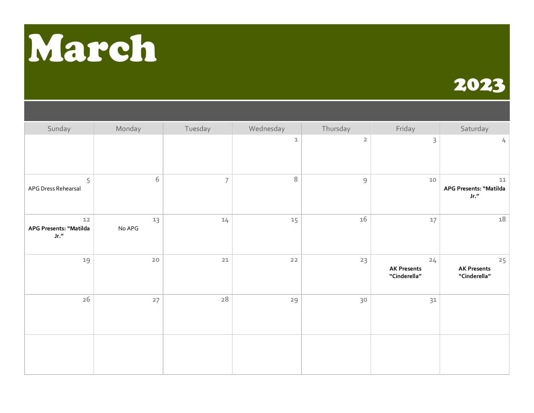# March

| Sunday                                 | Monday       | Tuesday        | Wednesday   | Thursday       | Friday                                   | Saturday                                 |
|----------------------------------------|--------------|----------------|-------------|----------------|------------------------------------------|------------------------------------------|
|                                        |              |                | $\mathbf 1$ | $\overline{2}$ | 3                                        | $\frac{1}{2}$                            |
| 5<br>APG Dress Rehearsal               | 6            | $\overline{7}$ | 8           | $\mathsf 9$    | $10$                                     | 11<br>APG Presents: "Matilda<br>Jr. $''$ |
| $12$<br>APG Presents: "Matilda<br>Jr." | 13<br>No APG | 14             | 15          | 16             | 17                                       | 18                                       |
| 19                                     | $20$         | $21$           | $22$        | 23             | 24<br><b>AK Presents</b><br>"Cinderella" | 25<br><b>AK Presents</b><br>"Cinderella" |
| 26                                     | 27           | $\sqrt{28}$    | 29          | 30             | 31                                       |                                          |
|                                        |              |                |             |                |                                          |                                          |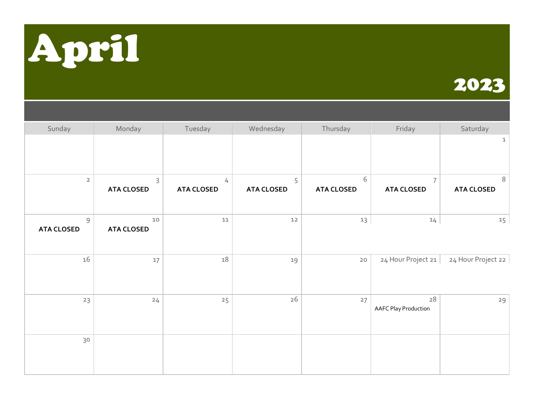

| Sunday                              | Monday                    | Tuesday                | Wednesday              | Thursday               | Friday                              | Saturday               |
|-------------------------------------|---------------------------|------------------------|------------------------|------------------------|-------------------------------------|------------------------|
|                                     |                           |                        |                        |                        |                                     | $\mathbf{1}$           |
|                                     |                           |                        |                        |                        |                                     |                        |
| $\overline{2}$                      | 3<br><b>ATA CLOSED</b>    | 4<br><b>ATA CLOSED</b> | 5<br><b>ATA CLOSED</b> | 6<br><b>ATA CLOSED</b> | $\overline{7}$<br><b>ATA CLOSED</b> | 8<br><b>ATA CLOSED</b> |
|                                     |                           |                        |                        |                        |                                     |                        |
| $\overline{9}$<br><b>ATA CLOSED</b> | $10$<br><b>ATA CLOSED</b> | ${\tt 11}$             | $12$                   | 13                     | 14                                  | 15                     |
|                                     |                           |                        |                        |                        |                                     |                        |
| 16                                  | 17                        | $18\,$                 | 19                     | $20$                   | 24 Hour Project 21                  | 24 Hour Project 22     |
|                                     |                           |                        |                        |                        |                                     |                        |
| 23                                  | 24                        | 25                     | 26                     | 27                     | 28<br><b>AAFC Play Production</b>   | 29                     |
|                                     |                           |                        |                        |                        |                                     |                        |
| 30                                  |                           |                        |                        |                        |                                     |                        |
|                                     |                           |                        |                        |                        |                                     |                        |
|                                     |                           |                        |                        |                        |                                     |                        |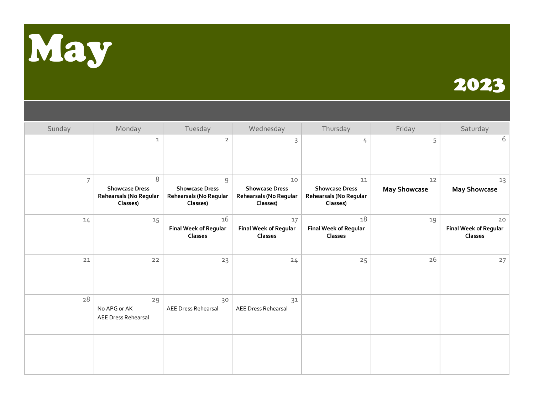

| Sunday         | Monday                                                           | Tuesday                                                          | Wednesday                                                         | Thursday                                                          | Friday                    | Saturday                                      |
|----------------|------------------------------------------------------------------|------------------------------------------------------------------|-------------------------------------------------------------------|-------------------------------------------------------------------|---------------------------|-----------------------------------------------|
|                | 1                                                                | $\overline{2}$                                                   | 3                                                                 | 4                                                                 | 5                         | 6                                             |
| $\overline{7}$ | 8<br><b>Showcase Dress</b><br>Rehearsals (No Regular<br>Classes) | 9<br><b>Showcase Dress</b><br>Rehearsals (No Regular<br>Classes) | 10<br><b>Showcase Dress</b><br>Rehearsals (No Regular<br>Classes) | 11<br><b>Showcase Dress</b><br>Rehearsals (No Regular<br>Classes) | 12<br><b>May Showcase</b> | 13<br><b>May Showcase</b>                     |
| 14             | 15                                                               | 16<br><b>Final Week of Regular</b><br>Classes                    | 17<br><b>Final Week of Regular</b><br><b>Classes</b>              | 18<br><b>Final Week of Regular</b><br><b>Classes</b>              | 19                        | 20<br><b>Final Week of Regular</b><br>Classes |
| 21             | 22                                                               | 23                                                               | 24                                                                | 25                                                                | 26                        | 27                                            |
| 28             | 29<br>No APG or AK<br>AEE Dress Rehearsal                        | 30<br>AEE Dress Rehearsal                                        | 31<br><b>AEE Dress Rehearsal</b>                                  |                                                                   |                           |                                               |
|                |                                                                  |                                                                  |                                                                   |                                                                   |                           |                                               |